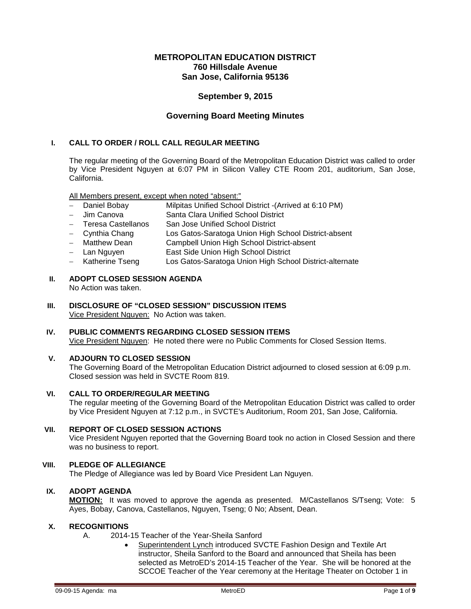# **METROPOLITAN EDUCATION DISTRICT 760 Hillsdale Avenue San Jose, California 95136**

# **September 9, 2015**

# **Governing Board Meeting Minutes**

### **I. CALL TO ORDER / ROLL CALL REGULAR MEETING**

The regular meeting of the Governing Board of the Metropolitan Education District was called to order by Vice President Nguyen at 6:07 PM in Silicon Valley CTE Room 201, auditorium, San Jose, California.

All Members present, except when noted "absent:"

- − Daniel Bobay Milpitas Unified School District -(Arrived at 6:10 PM)
- − Jim Canova Santa Clara Unified School District
- San Jose Unified School District
- − Cynthia Chang Los Gatos-Saratoga Union High School District-absent
- Campbell Union High School District-absent
- − Lan Nguyen East Side Union High School District
- − Katherine Tseng Los Gatos-Saratoga Union High School District-alternate

#### **II. ADOPT CLOSED SESSION AGENDA** No Action was taken.

- **III. DISCLOSURE OF "CLOSED SESSION" DISCUSSION ITEMS** Vice President Nguyen: No Action was taken.
- **IV. PUBLIC COMMENTS REGARDING CLOSED SESSION ITEMS** Vice President Nguyen: He noted there were no Public Comments for Closed Session Items.

### **V. ADJOURN TO CLOSED SESSION**

The Governing Board of the Metropolitan Education District adjourned to closed session at 6:09 p.m. Closed session was held in SVCTE Room 819.

### **VI. CALL TO ORDER/REGULAR MEETING**

The regular meeting of the Governing Board of the Metropolitan Education District was called to order by Vice President Nguyen at 7:12 p.m., in SVCTE's Auditorium, Room 201, San Jose, California.

# **VII. REPORT OF CLOSED SESSION ACTIONS**

Vice President Nguyen reported that the Governing Board took no action in Closed Session and there was no business to report.

# **VIII. PLEDGE OF ALLEGIANCE**

The Pledge of Allegiance was led by Board Vice President Lan Nguyen.

# **IX. ADOPT AGENDA**

**MOTION:** It was moved to approve the agenda as presented. M/Castellanos S/Tseng; Vote: 5 Ayes, Bobay, Canova, Castellanos, Nguyen, Tseng; 0 No; Absent, Dean.

# **X. RECOGNITIONS**

- A. 2014-15 Teacher of the Year-Sheila Sanford
	- Superintendent Lynch introduced SVCTE Fashion Design and Textile Art instructor, Sheila Sanford to the Board and announced that Sheila has been selected as MetroED's 2014-15 Teacher of the Year. She will be honored at the SCCOE Teacher of the Year ceremony at the Heritage Theater on October 1 in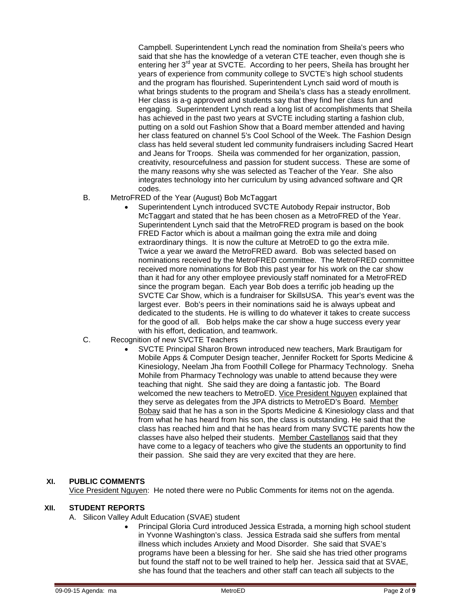Campbell. Superintendent Lynch read the nomination from Sheila's peers who said that she has the knowledge of a veteran CTE teacher, even though she is entering her 3<sup>rd</sup> year at SVCTE. According to her peers, Sheila has brought her years of experience from community college to SVCTE's high school students and the program has flourished. Superintendent Lynch said word of mouth is what brings students to the program and Sheila's class has a steady enrollment. Her class is a-g approved and students say that they find her class fun and engaging. Superintendent Lynch read a long list of accomplishments that Sheila has achieved in the past two years at SVCTE including starting a fashion club, putting on a sold out Fashion Show that a Board member attended and having her class featured on channel 5's Cool School of the Week. The Fashion Design class has held several student led community fundraisers including Sacred Heart and Jeans for Troops. Sheila was commended for her organization, passion, creativity, resourcefulness and passion for student success. These are some of the many reasons why she was selected as Teacher of the Year. She also integrates technology into her curriculum by using advanced software and QR codes.

- B. MetroFRED of the Year (August) Bob McTaggart
	- Superintendent Lynch introduced SVCTE Autobody Repair instructor, Bob McTaggart and stated that he has been chosen as a MetroFRED of the Year. Superintendent Lynch said that the MetroFRED program is based on the book FRED Factor which is about a mailman going the extra mile and doing extraordinary things. It is now the culture at MetroED to go the extra mile. Twice a year we award the MetroFRED award. Bob was selected based on nominations received by the MetroFRED committee. The MetroFRED committee received more nominations for Bob this past year for his work on the car show than it had for any other employee previously staff nominated for a MetroFRED since the program began. Each year Bob does a terrific job heading up the SVCTE Car Show, which is a fundraiser for SkillsUSA. This year's event was the largest ever. Bob's peers in their nominations said he is always upbeat and dedicated to the students. He is willing to do whatever it takes to create success for the good of all. Bob helps make the car show a huge success every year with his effort, dedication, and teamwork.
- C. Recognition of new SVCTE Teachers
	- SVCTE Principal Sharon Brown introduced new teachers, Mark Brautigam for Mobile Apps & Computer Design teacher, Jennifer Rockett for Sports Medicine & Kinesiology, Neelam Jha from Foothill College for Pharmacy Technology. Sneha Mohile from Pharmacy Technology was unable to attend because they were teaching that night. She said they are doing a fantastic job. The Board welcomed the new teachers to MetroED. Vice President Nguyen explained that they serve as delegates from the JPA districts to MetroED's Board. Member Bobay said that he has a son in the Sports Medicine & Kinesiology class and that from what he has heard from his son, the class is outstanding. He said that the class has reached him and that he has heard from many SVCTE parents how the classes have also helped their students. Member Castellanos said that they have come to a legacy of teachers who give the students an opportunity to find their passion. She said they are very excited that they are here.

### **XI. PUBLIC COMMENTS**

Vice President Nguyen: He noted there were no Public Comments for items not on the agenda.

## **XII. STUDENT REPORTS**

- A. Silicon Valley Adult Education (SVAE) student
	- Principal Gloria Curd introduced Jessica Estrada, a morning high school student in Yvonne Washington's class. Jessica Estrada said she suffers from mental illness which includes Anxiety and Mood Disorder. She said that SVAE's programs have been a blessing for her. She said she has tried other programs but found the staff not to be well trained to help her. Jessica said that at SVAE, she has found that the teachers and other staff can teach all subjects to the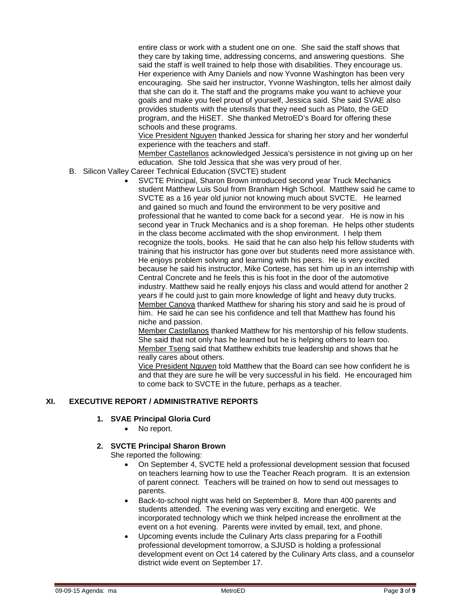entire class or work with a student one on one. She said the staff shows that they care by taking time, addressing concerns, and answering questions. She said the staff is well trained to help those with disabilities. They encourage us. Her experience with Amy Daniels and now Yvonne Washington has been very encouraging. She said her instructor, Yvonne Washington, tells her almost daily that she can do it. The staff and the programs make you want to achieve your goals and make you feel proud of yourself, Jessica said. She said SVAE also provides students with the utensils that they need such as Plato, the GED program, and the HiSET. She thanked MetroED's Board for offering these schools and these programs.

Vice President Nguyen thanked Jessica for sharing her story and her wonderful experience with the teachers and staff.

Member Castellanos acknowledged Jessica's persistence in not giving up on her education. She told Jessica that she was very proud of her.

- B. Silicon Valley Career Technical Education (SVCTE) student
	- SVCTE Principal, Sharon Brown introduced second year Truck Mechanics student Matthew Luis Soul from Branham High School. Matthew said he came to SVCTE as a 16 year old junior not knowing much about SVCTE. He learned and gained so much and found the environment to be very positive and professional that he wanted to come back for a second year. He is now in his second year in Truck Mechanics and is a shop foreman. He helps other students in the class become acclimated with the shop environment. I help them recognize the tools, books. He said that he can also help his fellow students with training that his instructor has gone over but students need more assistance with. He enjoys problem solving and learning with his peers. He is very excited because he said his instructor, Mike Cortese, has set him up in an internship with Central Concrete and he feels this is his foot in the door of the automotive industry. Matthew said he really enjoys his class and would attend for another 2 years if he could just to gain more knowledge of light and heavy duty trucks. Member Canova thanked Matthew for sharing his story and said he is proud of him. He said he can see his confidence and tell that Matthew has found his niche and passion.

Member Castellanos thanked Matthew for his mentorship of his fellow students. She said that not only has he learned but he is helping others to learn too. Member Tseng said that Matthew exhibits true leadership and shows that he really cares about others.

Vice President Nguyen told Matthew that the Board can see how confident he is and that they are sure he will be very successful in his field. He encouraged him to come back to SVCTE in the future, perhaps as a teacher.

# **XI. EXECUTIVE REPORT / ADMINISTRATIVE REPORTS**

### **1. SVAE Principal Gloria Curd**

• No report.

### **2. SVCTE Principal Sharon Brown**

She reported the following:

- On September 4, SVCTE held a professional development session that focused on teachers learning how to use the Teacher Reach program. It is an extension of parent connect. Teachers will be trained on how to send out messages to parents.
- Back-to-school night was held on September 8. More than 400 parents and students attended. The evening was very exciting and energetic. We incorporated technology which we think helped increase the enrollment at the event on a hot evening. Parents were invited by email, text, and phone.
- Upcoming events include the Culinary Arts class preparing for a Foothill professional development tomorrow, a SJUSD is holding a professional development event on Oct 14 catered by the Culinary Arts class, and a counselor district wide event on September 17.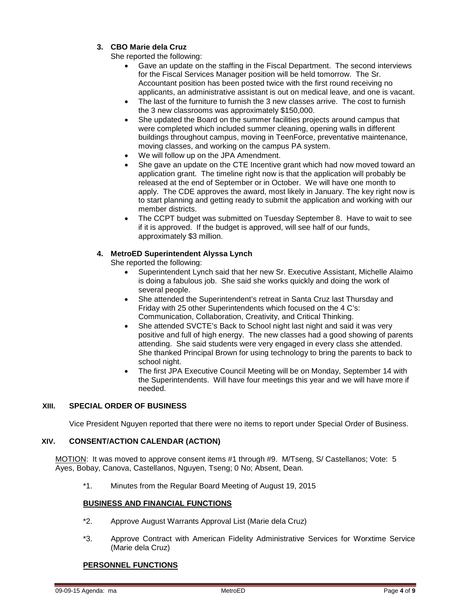# **3. CBO Marie dela Cruz**

She reported the following:

- Gave an update on the staffing in the Fiscal Department. The second interviews for the Fiscal Services Manager position will be held tomorrow. The Sr. Accountant position has been posted twice with the first round receiving no applicants, an administrative assistant is out on medical leave, and one is vacant.
- The last of the furniture to furnish the 3 new classes arrive. The cost to furnish the 3 new classrooms was approximately \$150,000.
- She updated the Board on the summer facilities projects around campus that were completed which included summer cleaning, opening walls in different buildings throughout campus, moving in TeenForce, preventative maintenance, moving classes, and working on the campus PA system.
- We will follow up on the JPA Amendment.
- She gave an update on the CTE Incentive grant which had now moved toward an application grant. The timeline right now is that the application will probably be released at the end of September or in October. We will have one month to apply. The CDE approves the award, most likely in January. The key right now is to start planning and getting ready to submit the application and working with our member districts.
- The CCPT budget was submitted on Tuesday September 8. Have to wait to see if it is approved. If the budget is approved, will see half of our funds, approximately \$3 million.

# **4. MetroED Superintendent Alyssa Lynch**

She reported the following:

- Superintendent Lynch said that her new Sr. Executive Assistant, Michelle Alaimo is doing a fabulous job. She said she works quickly and doing the work of several people.
- She attended the Superintendent's retreat in Santa Cruz last Thursday and Friday with 25 other Superintendents which focused on the 4 C's: Communication, Collaboration, Creativity, and Critical Thinking.
- She attended SVCTE's Back to School night last night and said it was very positive and full of high energy. The new classes had a good showing of parents attending. She said students were very engaged in every class she attended. She thanked Principal Brown for using technology to bring the parents to back to school night.
- The first JPA Executive Council Meeting will be on Monday, September 14 with the Superintendents. Will have four meetings this year and we will have more if needed.

# **XIII. SPECIAL ORDER OF BUSINESS**

Vice President Nguyen reported that there were no items to report under Special Order of Business.

# **XIV. CONSENT/ACTION CALENDAR (ACTION)**

MOTION:It was moved to approve consent items #1 through #9. M/Tseng, S/ Castellanos; Vote: 5 Ayes, Bobay, Canova, Castellanos, Nguyen, Tseng; 0 No; Absent, Dean.

\*1. Minutes from the Regular Board Meeting of August 19, 2015

# **BUSINESS AND FINANCIAL FUNCTIONS**

- \*2. Approve August Warrants Approval List (Marie dela Cruz)
- \*3. Approve Contract with American Fidelity Administrative Services for Worxtime Service (Marie dela Cruz)

# **PERSONNEL FUNCTIONS**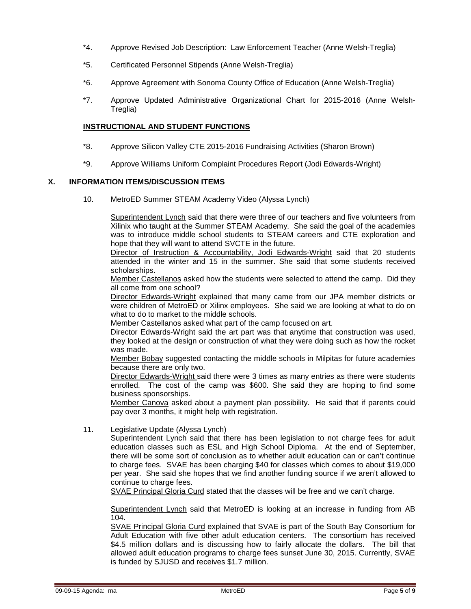- \*4. Approve Revised Job Description: Law Enforcement Teacher (Anne Welsh-Treglia)
- \*5. Certificated Personnel Stipends (Anne Welsh-Treglia)
- \*6. Approve Agreement with Sonoma County Office of Education (Anne Welsh-Treglia)
- \*7. Approve Updated Administrative Organizational Chart for 2015-2016 (Anne Welsh-Treglia)

### **INSTRUCTIONAL AND STUDENT FUNCTIONS**

- \*8. Approve Silicon Valley CTE 2015-2016 Fundraising Activities (Sharon Brown)
- \*9. Approve Williams Uniform Complaint Procedures Report (Jodi Edwards-Wright)

## **X. INFORMATION ITEMS/DISCUSSION ITEMS**

10. MetroED Summer STEAM Academy Video (Alyssa Lynch)

Superintendent Lynch said that there were three of our teachers and five volunteers from Xilinix who taught at the Summer STEAM Academy. She said the goal of the academies was to introduce middle school students to STEAM careers and CTE exploration and hope that they will want to attend SVCTE in the future.

Director of Instruction & Accountability, Jodi Edwards-Wright said that 20 students attended in the winter and 15 in the summer. She said that some students received scholarships.

Member Castellanos asked how the students were selected to attend the camp. Did they all come from one school?

Director Edwards-Wright explained that many came from our JPA member districts or were children of MetroED or Xilinx employees. She said we are looking at what to do on what to do to market to the middle schools.

Member Castellanos asked what part of the camp focused on art.

Director Edwards-Wright said the art part was that anytime that construction was used, they looked at the design or construction of what they were doing such as how the rocket was made.

Member Bobay suggested contacting the middle schools in Milpitas for future academies because there are only two.

Director Edwards-Wright said there were 3 times as many entries as there were students enrolled. The cost of the camp was \$600. She said they are hoping to find some business sponsorships.

Member Canova asked about a payment plan possibility. He said that if parents could pay over 3 months, it might help with registration.

11. Legislative Update (Alyssa Lynch)

Superintendent Lynch said that there has been legislation to not charge fees for adult education classes such as ESL and High School Diploma. At the end of September, there will be some sort of conclusion as to whether adult education can or can't continue to charge fees. SVAE has been charging \$40 for classes which comes to about \$19,000 per year. She said she hopes that we find another funding source if we aren't allowed to continue to charge fees.

SVAE Principal Gloria Curd stated that the classes will be free and we can't charge.

Superintendent Lynch said that MetroED is looking at an increase in funding from AB 104.

SVAE Principal Gloria Curd explained that SVAE is part of the South Bay Consortium for Adult Education with five other adult education centers. The consortium has received \$4.5 million dollars and is discussing how to fairly allocate the dollars. The bill that allowed adult education programs to charge fees sunset June 30, 2015. Currently, SVAE is funded by SJUSD and receives \$1.7 million.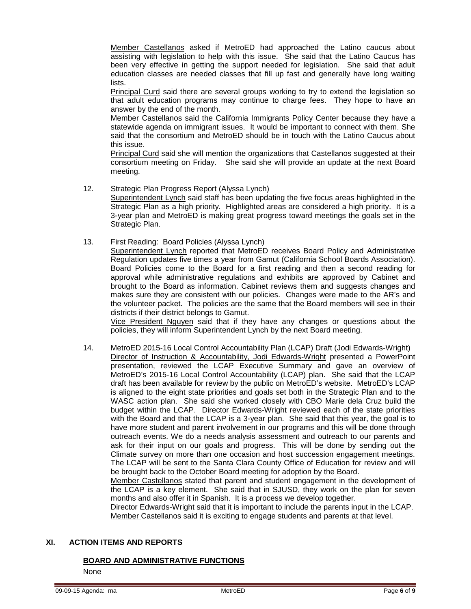Member Castellanos asked if MetroED had approached the Latino caucus about assisting with legislation to help with this issue. She said that the Latino Caucus has been very effective in getting the support needed for legislation. She said that adult education classes are needed classes that fill up fast and generally have long waiting lists.

Principal Curd said there are several groups working to try to extend the legislation so that adult education programs may continue to charge fees. They hope to have an answer by the end of the month.

Member Castellanos said the California Immigrants Policy Center because they have a statewide agenda on immigrant issues. It would be important to connect with them. She said that the consortium and MetroED should be in touch with the Latino Caucus about this issue.

Principal Curd said she will mention the organizations that Castellanos suggested at their consortium meeting on Friday. She said she will provide an update at the next Board meeting.

- 12. Strategic Plan Progress Report (Alyssa Lynch) Superintendent Lynch said staff has been updating the five focus areas highlighted in the Strategic Plan as a high priority. Highlighted areas are considered a high priority. It is a 3-year plan and MetroED is making great progress toward meetings the goals set in the
- 13. First Reading: Board Policies (Alyssa Lynch)

Strategic Plan.

Superintendent Lynch reported that MetroED receives Board Policy and Administrative Regulation updates five times a year from Gamut (California School Boards Association). Board Policies come to the Board for a first reading and then a second reading for approval while administrative regulations and exhibits are approved by Cabinet and brought to the Board as information. Cabinet reviews them and suggests changes and makes sure they are consistent with our policies. Changes were made to the AR's and the volunteer packet. The policies are the same that the Board members will see in their districts if their district belongs to Gamut.

Vice President Nguyen said that if they have any changes or questions about the policies, they will inform Superintendent Lynch by the next Board meeting.

14. MetroED 2015-16 Local Control Accountability Plan (LCAP) Draft (Jodi Edwards-Wright) Director of Instruction & Accountability, Jodi Edwards-Wright presented a PowerPoint presentation, reviewed the LCAP Executive Summary and gave an overview of MetroED's 2015-16 Local Control Accountability (LCAP) plan. She said that the LCAP draft has been available for review by the public on MetroED's website. MetroED's LCAP is aligned to the eight state priorities and goals set both in the Strategic Plan and to the WASC action plan. She said she worked closely with CBO Marie dela Cruz build the budget within the LCAP. Director Edwards-Wright reviewed each of the state priorities with the Board and that the LCAP is a 3-year plan. She said that this year, the goal is to have more student and parent involvement in our programs and this will be done through outreach events. We do a needs analysis assessment and outreach to our parents and ask for their input on our goals and progress. This will be done by sending out the Climate survey on more than one occasion and host succession engagement meetings. The LCAP will be sent to the Santa Clara County Office of Education for review and will be brought back to the October Board meeting for adoption by the Board.

Member Castellanos stated that parent and student engagement in the development of the LCAP is a key element. She said that in SJUSD, they work on the plan for seven months and also offer it in Spanish. It is a process we develop together.

Director Edwards-Wright said that it is important to include the parents input in the LCAP. Member Castellanos said it is exciting to engage students and parents at that level.

### **XI. ACTION ITEMS AND REPORTS**

# **BOARD AND ADMINISTRATIVE FUNCTIONS**

None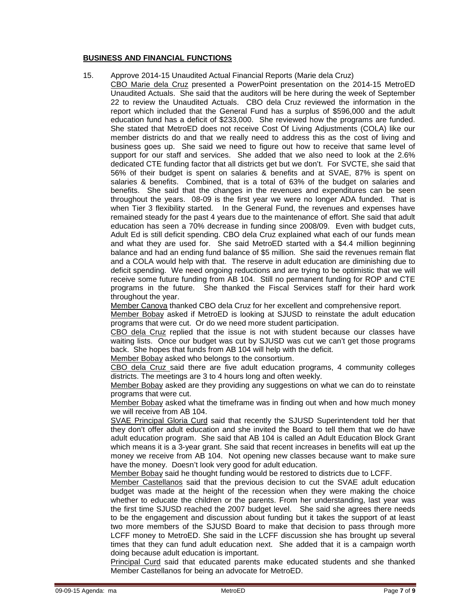### **BUSINESS AND FINANCIAL FUNCTIONS**

#### 15. Approve 2014-15 Unaudited Actual Financial Reports (Marie dela Cruz)

CBO Marie dela Cruz presented a PowerPoint presentation on the 2014-15 MetroED Unaudited Actuals. She said that the auditors will be here during the week of September 22 to review the Unaudited Actuals. CBO dela Cruz reviewed the information in the report which included that the General Fund has a surplus of \$596,000 and the adult education fund has a deficit of \$233,000. She reviewed how the programs are funded. She stated that MetroED does not receive Cost Of Living Adjustments (COLA) like our member districts do and that we really need to address this as the cost of living and business goes up. She said we need to figure out how to receive that same level of support for our staff and services. She added that we also need to look at the 2.6% dedicated CTE funding factor that all districts get but we don't. For SVCTE, she said that 56% of their budget is spent on salaries & benefits and at SVAE, 87% is spent on salaries & benefits. Combined, that is a total of 63% of the budget on salaries and benefits. She said that the changes in the revenues and expenditures can be seen throughout the years. 08-09 is the first year we were no longer ADA funded. That is when Tier 3 flexibility started. In the General Fund, the revenues and expenses have remained steady for the past 4 years due to the maintenance of effort. She said that adult education has seen a 70% decrease in funding since 2008/09. Even with budget cuts, Adult Ed is still deficit spending. CBO dela Cruz explained what each of our funds mean and what they are used for. She said MetroED started with a \$4.4 million beginning balance and had an ending fund balance of \$5 million. She said the revenues remain flat and a COLA would help with that. The reserve in adult education are diminishing due to deficit spending. We need ongoing reductions and are trying to be optimistic that we will receive some future funding from AB 104. Still no permanent funding for ROP and CTE programs in the future. She thanked the Fiscal Services staff for their hard work throughout the year.

Member Canova thanked CBO dela Cruz for her excellent and comprehensive report.

Member Bobay asked if MetroED is looking at SJUSD to reinstate the adult education programs that were cut. Or do we need more student participation.

CBO dela Cruz replied that the issue is not with student because our classes have waiting lists. Once our budget was cut by SJUSD was cut we can't get those programs back. She hopes that funds from AB 104 will help with the deficit.

Member Bobay asked who belongs to the consortium.

CBO dela Cruz said there are five adult education programs, 4 community colleges districts. The meetings are 3 to 4 hours long and often weekly.

Member Bobay asked are they providing any suggestions on what we can do to reinstate programs that were cut.

Member Bobay asked what the timeframe was in finding out when and how much money we will receive from AB 104.

SVAE Principal Gloria Curd said that recently the SJUSD Superintendent told her that they don't offer adult education and she invited the Board to tell them that we do have adult education program. She said that AB 104 is called an Adult Education Block Grant which means it is a 3-year grant. She said that recent increases in benefits will eat up the money we receive from AB 104. Not opening new classes because want to make sure have the money. Doesn't look very good for adult education.

Member Bobay said he thought funding would be restored to districts due to LCFF.

Member Castellanos said that the previous decision to cut the SVAE adult education budget was made at the height of the recession when they were making the choice whether to educate the children or the parents. From her understanding, last year was the first time SJUSD reached the 2007 budget level. She said she agrees there needs to be the engagement and discussion about funding but it takes the support of at least two more members of the SJUSD Board to make that decision to pass through more LCFF money to MetroED. She said in the LCFF discussion she has brought up several times that they can fund adult education next. She added that it is a campaign worth doing because adult education is important.

Principal Curd said that educated parents make educated students and she thanked Member Castellanos for being an advocate for MetroED.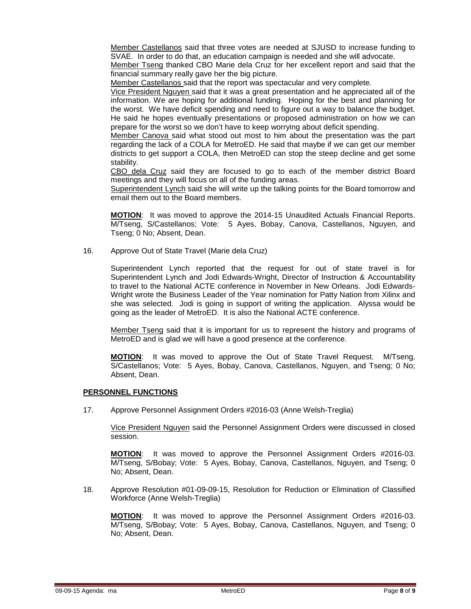Member Castellanos said that three votes are needed at SJUSD to increase funding to SVAE. In order to do that, an education campaign is needed and she will advocate.

Member Tseng thanked CBO Marie dela Cruz for her excellent report and said that the financial summary really gave her the big picture.

Member Castellanos said that the report was spectacular and very complete.

Vice President Nguyen said that it was a great presentation and he appreciated all of the information. We are hoping for additional funding. Hoping for the best and planning for the worst. We have deficit spending and need to figure out a way to balance the budget. He said he hopes eventually presentations or proposed administration on how we can prepare for the worst so we don't have to keep worrying about deficit spending.

Member Canova said what stood out most to him about the presentation was the part regarding the lack of a COLA for MetroED. He said that maybe if we can get our member districts to get support a COLA, then MetroED can stop the steep decline and get some stability.

CBO dela Cruz said they are focused to go to each of the member district Board meetings and they will focus on all of the funding areas.

Superintendent Lynch said she will write up the talking points for the Board tomorrow and email them out to the Board members.

**MOTION**: It was moved to approve the 2014-15 Unaudited Actuals Financial Reports. M/Tseng, S/Castellanos; Vote: 5 Ayes, Bobay, Canova, Castellanos, Nguyen, and Tseng; 0 No; Absent, Dean.

16. Approve Out of State Travel (Marie dela Cruz)

Superintendent Lynch reported that the request for out of state travel is for Superintendent Lynch and Jodi Edwards-Wright, Director of Instruction & Accountability to travel to the National ACTE conference in November in New Orleans. Jodi Edwards-Wright wrote the Business Leader of the Year nomination for Patty Nation from Xilinx and she was selected. Jodi is going in support of writing the application. Alyssa would be going as the leader of MetroED. It is also the National ACTE conference.

Member Tseng said that it is important for us to represent the history and programs of MetroED and is glad we will have a good presence at the conference.

**MOTION**: It was moved to approve the Out of State Travel Request. M/Tseng, S/Castellanos; Vote: 5 Ayes, Bobay, Canova, Castellanos, Nguyen, and Tseng; 0 No; Absent, Dean.

### **PERSONNEL FUNCTIONS**

17. Approve Personnel Assignment Orders #2016-03 (Anne Welsh-Treglia)

Vice President Nguyen said the Personnel Assignment Orders were discussed in closed session.

**MOTION**: It was moved to approve the Personnel Assignment Orders #2016-03. M/Tseng, S/Bobay; Vote: 5 Ayes, Bobay, Canova, Castellanos, Nguyen, and Tseng; 0 No; Absent, Dean.

18. Approve Resolution #01-09-09-15, Resolution for Reduction or Elimination of Classified Workforce (Anne Welsh-Treglia)

**MOTION**: It was moved to approve the Personnel Assignment Orders #2016-03. M/Tseng, S/Bobay; Vote: 5 Ayes, Bobay, Canova, Castellanos, Nguyen, and Tseng; 0 No; Absent, Dean.